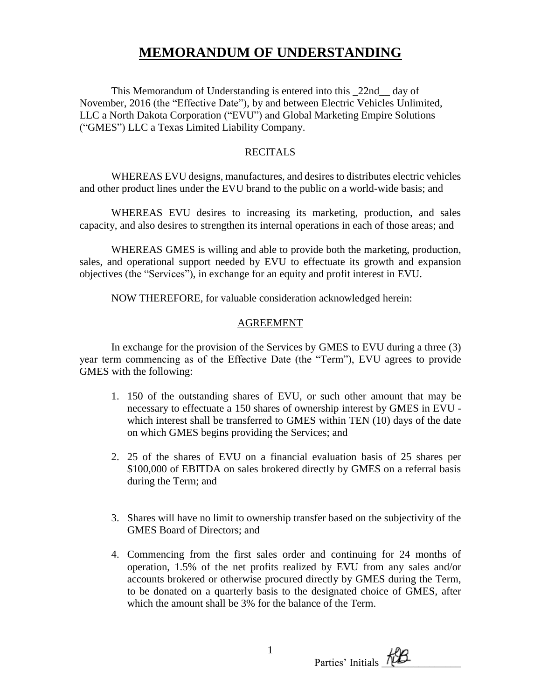## **MEMORANDUM OF UNDERSTANDING**

This Memorandum of Understanding is entered into this \_22nd\_\_ day of November, 2016 (the "Effective Date"), by and between Electric Vehicles Unlimited, LLC a North Dakota Corporation ("EVU") and Global Marketing Empire Solutions ("GMES") LLC a Texas Limited Liability Company.

## RECITALS

WHEREAS EVU designs, manufactures, and desires to distributes electric vehicles and other product lines under the EVU brand to the public on a world-wide basis; and

WHEREAS EVU desires to increasing its marketing, production, and sales capacity, and also desires to strengthen its internal operations in each of those areas; and

WHEREAS GMES is willing and able to provide both the marketing, production, sales, and operational support needed by EVU to effectuate its growth and expansion objectives (the "Services"), in exchange for an equity and profit interest in EVU.

NOW THEREFORE, for valuable consideration acknowledged herein:

## AGREEMENT

In exchange for the provision of the Services by GMES to EVU during a three (3) year term commencing as of the Effective Date (the "Term"), EVU agrees to provide GMES with the following:

- 1. 150 of the outstanding shares of EVU, or such other amount that may be necessary to effectuate a 150 shares of ownership interest by GMES in EVU which interest shall be transferred to GMES within TEN (10) days of the date on which GMES begins providing the Services; and
- 2. 25 of the shares of EVU on a financial evaluation basis of 25 shares per \$100,000 of EBITDA on sales brokered directly by GMES on a referral basis during the Term; and
- 3. Shares will have no limit to ownership transfer based on the subjectivity of the GMES Board of Directors; and
- 4. Commencing from the first sales order and continuing for 24 months of operation, 1.5% of the net profits realized by EVU from any sales and/or accounts brokered or otherwise procured directly by GMES during the Term, to be donated on a quarterly basis to the designated choice of GMES, after which the amount shall be 3% for the balance of the Term.